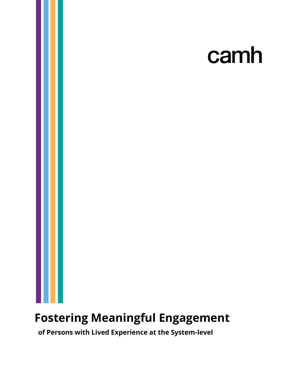# camh

## **Fostering Meaningful Engagement**

 **of Persons with Lived Experience at the System-level**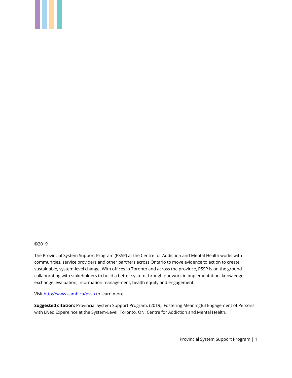#### ©2019

The Provincial System Support Program (PSSP) at the Centre for Addiction and Mental Health works with communities, service providers and other partners across Ontario to move evidence to action to create sustainable, system-level change. With offices in Toronto and across the province, PSSP is on the ground collaborating with stakeholders to build a better system through our work in implementation, knowledge exchange, evaluation, information management, health equity and engagement.

Visi[t http://www.camh.ca/pssp](http://www.camh.ca/pssp) to learn more.

**Suggested citation:** Provincial System Support Program. (2019*).* Fostering Meaningful Engagement of Persons with Lived Expereince at the System-Level. Toronto, ON: Centre for Addiction and Mental Health.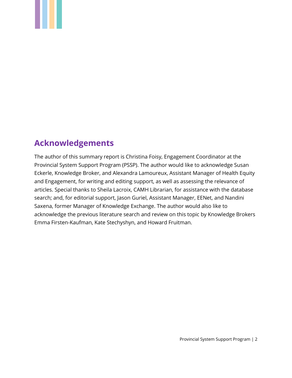## <span id="page-2-0"></span>**Acknowledgements**

The author of this summary report is Christina Foisy, Engagement Coordinator at the Provincial System Support Program (PSSP). The author would like to acknowledge Susan Eckerle, Knowledge Broker, and Alexandra Lamoureux, Assistant Manager of Health Equity and Engagement, for writing and editing support, as well as assessing the relevance of articles. Special thanks to Sheila Lacroix, CAMH Librarian, for assistance with the database search; and, for editorial support, Jason Guriel, Assistant Manager, EENet, and Nandini Saxena, former Manager of Knowledge Exchange. The author would also like to acknowledge the previous literature search and review on this topic by Knowledge Brokers Emma Firsten-Kaufman, Kate Stechyshyn, and Howard Fruitman.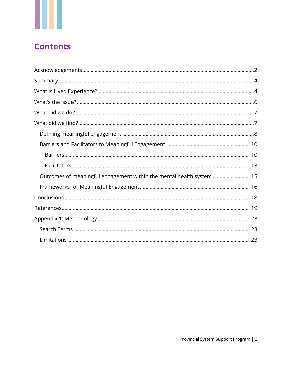## **Contents**

| Outcomes of meaningful engagement within the mental health system  15 |
|-----------------------------------------------------------------------|
|                                                                       |
|                                                                       |
|                                                                       |
|                                                                       |
|                                                                       |
|                                                                       |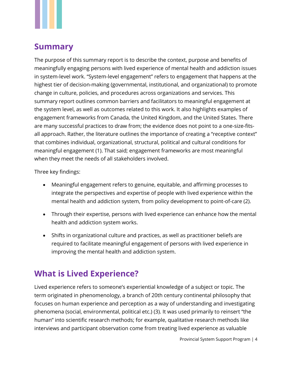## <span id="page-4-0"></span>**Summary**

The purpose of this summary report is to describe the context, purpose and benefits of meaningfully engaging persons with lived experience of mental health and addiction issues in system-level work. "System-level engagement" refers to engagement that happens at the highest tier of decision-making (governmental, institutional, and organizational) to promote change in culture, policies, and procedures across organizations and services. This summary report outlines common barriers and facilitators to meaningful engagement at the system level, as well as outcomes related to this work. It also highlights examples of engagement frameworks from Canada, the United Kingdom, and the United States. There are many successful practices to draw from; the evidence does not point to a one-size-fitsall approach. Rather, the literature outlines the importance of creating a "receptive context" that combines individual, organizational, structural, political and cultural conditions for meaningful engagement (1). That said; engagement frameworks are most meaningful when they meet the needs of all stakeholders involved.

Three key findings:

- Meaningful engagement refers to genuine, equitable, and affirming processes to integrate the perspectives and expertise of people with lived experience within the mental health and addiction system, from policy development to point-of-care (2).
- Through their expertise, persons with lived experience can enhance how the mental health and addiction system works.
- Shifts in organizational culture and practices, as well as practitioner beliefs are required to facilitate meaningful engagement of persons with lived experience in improving the mental health and addiction system.

## <span id="page-4-1"></span>**What is Lived Experience?**

Lived experience refers to someone's experiential knowledge of a subject or topic. The term originated in phenomenology, a branch of 20th century continental philosophy that focuses on human experience and perception as a way of understanding and investigating phenomena (social, environmental, political etc.) (3). It was used primarily to reinsert "the human" into scientific research methods; for example, qualitative research methods like interviews and participant observation come from treating lived experience as valuable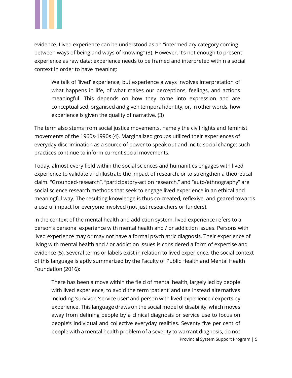

evidence. Lived experience can be understood as an "intermediary category coming between ways of being and ways of knowing" (3). However, it's not enough to present experience as raw data; experience needs to be framed and interpreted within a social context in order to have meaning:

We talk of 'lived' experience, but experience always involves interpretation of what happens in life, of what makes our perceptions, feelings, and actions meaningful. This depends on how they come into expression and are conceptualised, organised and given temporal identity, or, in other words, how experience is given the quality of narrative. (3)

The term also stems from social justice movements, namely the civil rights and feminist movements of the 1960s-1990s (4). Marginalized groups utilized their experiences of everyday discrimination as a source of power to speak out and incite social change; such practices continue to inform current social movements.

Today, almost every field within the social sciences and humanities engages with lived experience to validate and illustrate the impact of research, or to strengthen a theoretical claim. "Grounded-research", "participatory-action research," and "auto/ethnography" are social science research methods that seek to engage lived experience in an ethical and meaningful way. The resulting knowledge is thus co-created, reflexive, and geared towards a useful impact for everyone involved (not just researchers or funders).

In the context of the mental health and addiction system, lived experience refers to a person's personal experience with mental health and / or addiction issues. Persons with lived experience may or may not have a formal psychiatric diagnosis. Their experience of living with mental health and / or addiction issues is considered a form of expertise and evidence (5). Several terms or labels exist in relation to lived experience; the social context of this language is aptly summarized by the Faculty of Public Health and Mental Health Foundation (2016):

There has been a move within the field of mental health, largely led by people with lived experience, to avoid the term 'patient' and use instead alternatives including 'survivor, 'service user' and person with lived experience / experts by experience. This language draws on the social model of disability, which moves away from defining people by a clinical diagnosis or service use to focus on people's individual and collective everyday realities. Seventy five per cent of people with a mental health problem of a severity to warrant diagnosis, do not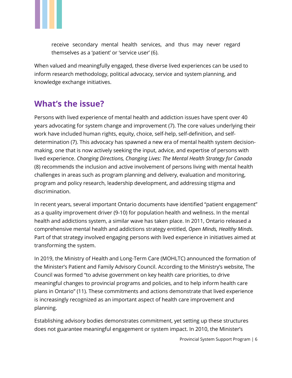

receive secondary mental health services, and thus may never regard themselves as a 'patient' or 'service user' (6).

When valued and meaningfully engaged, these diverse lived experiences can be used to inform research methodology, political advocacy, service and system planning, and knowledge exchange initiatives.

## <span id="page-6-0"></span>**What's the issue?**

Persons with lived experience of mental health and addiction issues have spent over 40 years advocating for system change and improvement (7). The core values underlying their work have included human rights, equity, choice, self-help, self-definition, and selfdetermination (7). This advocacy has spawned a new era of mental health system decisionmaking, one that is now actively seeking the input, advice, and expertise of persons with lived experience. *Changing Directions, Changing Lives: The Mental Health Strategy for Canada* (8) recommends the inclusion and active involvement of persons living with mental health challenges in areas such as program planning and delivery, evaluation and monitoring, program and policy research, leadership development, and addressing stigma and discrimination.

In recent years, several important Ontario documents have identified "patient engagement" as a quality improvement driver (9-10) for population health and wellness. In the mental health and addictions system, a similar wave has taken place. In 2011, Ontario released a comprehensive mental health and addictions strategy entitled, *Open Minds, Healthy Minds*. Part of that strategy involved engaging persons with lived experience in initiatives aimed at transforming the system.

In 2019, the Ministry of Health and Long-Term Care (MOHLTC) announced the formation of the Minister's Patient and Family Advisory Council. According to the Ministry's website, The Council was formed "to advise government on key health care priorities, to drive meaningful changes to provincial programs and policies, and to help inform health care plans in Ontario" (11). These commitments and actions demonstrate that lived experience is increasingly recognized as an important aspect of health care improvement and planning.

Establishing advisory bodies demonstrates commitment, yet setting up these structures does not guarantee meaningful engagement or system impact. In 2010, the Minister's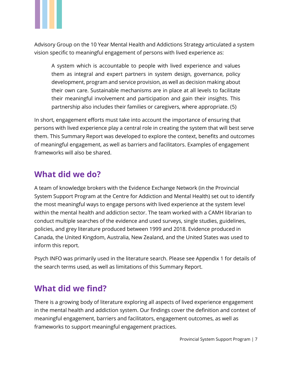

Advisory Group on the 10 Year Mental Health and Addictions Strategy articulated a system vision specific to meaningful engagement of persons with lived experience as:

A system which is accountable to people with lived experience and values them as integral and expert partners in system design, governance, policy development, program and service provision, as well as decision making about their own care. Sustainable mechanisms are in place at all levels to facilitate their meaningful involvement and participation and gain their insights. This partnership also includes their families or caregivers, where appropriate. (5)

In short, engagement efforts must take into account the importance of ensuring that persons with lived experience play a central role in creating the system that will best serve them. This Summary Report was developed to explore the context, benefits and outcomes of meaningful engagement, as well as barriers and facilitators. Examples of engagement frameworks will also be shared.

## <span id="page-7-0"></span>**What did we do?**

A team of knowledge brokers with the Evidence Exchange Network (in the Provincial System Support Program at the Centre for Addiction and Mental Health) set out to identify the most meaningful ways to engage persons with lived experience at the system level within the mental health and addiction sector. The team worked with a CAMH librarian to conduct multiple searches of the evidence and used surveys, single studies, guidelines, policies, and grey literature produced between 1999 and 2018. Evidence produced in Canada, the United Kingdom, Australia, New Zealand, and the United States was used to inform this report.

Psych INFO was primarily used in the literature search. Please see Appendix 1 for details of the search terms used, as well as limitations of this Summary Report.

## <span id="page-7-1"></span>**What did we find?**

There is a growing body of literature exploring all aspects of lived experience engagement in the mental health and addiction system. Our findings cover the definition and context of meaningful engagement, barriers and facilitators, engagement outcomes, as well as frameworks to support meaningful engagement practices.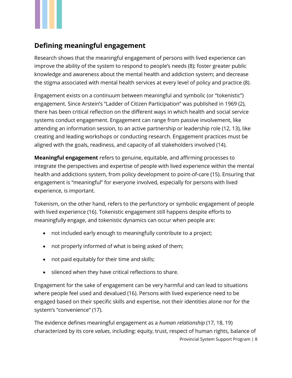## <span id="page-8-0"></span>**Defining meaningful engagement**

Research shows that the meaningful engagement of persons with lived experience can improve the ability of the system to respond to people's needs (8); foster greater public knowledge and awareness about the mental health and addiction system; and decrease the stigma associated with mental health services at every level of policy and practice (8).

Engagement exists on a continuum between meaningful and symbolic (or "tokenistic") engagement. Since Arstein's "Ladder of Citizen Participation" was published in 1969 (2), there has been critical reflection on the different ways in which health and social service systems conduct engagement. Engagement can range from passive involvement, like attending an information session, to an active partnership or leadership role (12, 13), like creating and leading workshops or conducting research. Engagement practices must be aligned with the goals, readiness, and capacity of all stakeholders involved (14).

**Meaningful engagement** refers to genuine, equitable, and affirming processes to integrate the perspectives and expertise of people with lived experience within the mental health and addictions system, from policy development to point-of-care (15). Ensuring that engagement is "meaningful" for everyone involved, especially for persons with lived experience, is important.

Tokenism, on the other hand, refers to the perfunctory or symbolic engagement of people with lived experience (16). Tokenistic engagement still happens despite efforts to meaningfully engage, and tokenistic dynamics can occur when people are:

- not included early enough to meaningfully contribute to a project;
- not properly informed of what is being asked of them;
- not paid equitably for their time and skills;
- silenced when they have critical reflections to share.

Engagement for the sake of engagement can be very harmful and can lead to situations where people feel used and devalued (16). Persons with lived experience need to be engaged based on their specific skills and expertise, not their identities alone nor for the system's "convenience" (17).

Provincial System Support Program | 8 The evidence defines meaningful engagement as a *human relationship* (17, 18, 19) characterized by its core *values*, including: equity, trust, respect of human rights, balance of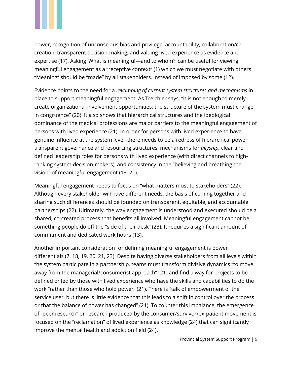

power, recognition of unconscious bias and privilege, accountability, collaboration/cocreation, transparent decision-making, and valuing lived experience as evidence and expertise (17). Asking 'What is meaningful—and to whom?' can be useful for viewing meaningful engagement as a "receptive context" (1) which we must negotiate with others. "Meaning" should be "made" by all stakeholders, instead of imposed by some (12).

Evidence points to the need for a *revamping of current system structures and mechanisms* in place to support meaningful engagement. As Treichler says, "it is not enough to merely create organizational involvement opportunities; the structure of the system must change in congruence" (20). It also shows that hierarchical structures and the ideological dominance of the medical professions are major barriers to the meaningful engagement of persons with lived experience (21). In order for persons with lived experience to have genuine influence at the system level, there needs to be a redress of hierarchical power, transparent governance and resourcing structures, mechanisms for *allyship,* clear and defined leadership roles for persons with lived experience (with direct channels to highranking system decision-makers), and consistency in the "believing and breathing the vision" of meaningful engagement (13, 21).

Meaningful engagement needs to focus on "what matters most to stakeholders" (22). Although every stakeholder will have different needs, the basis of coming together and sharing such differences should be founded on transparent, equitable, and accountable partnerships (22). Ultimately, the way engagement is understood and executed should be a shared, co-created process that benefits all involved. Meaningful engagement cannot be something people do off the "side of their desk" (23). It requires a significant amount of commitment and dedicated work hours (13).

Another important consideration for defining meaningful engagement is power differentials (7, 18, 19, 20, 21, 23). Despite having diverse stakeholders from all levels within the system participate in a partnership, teams must transform divisive dynamics "to move away from the managerial/consumerist approach" (21) and find a way for projects to be defined or led by those with lived experience who have the skills and capabilities to do the work "rather than those who hold power" (21). There is "talk of empowerment of the service user, but there is little evidence that this leads to a shift in control over the process or that the balance of power has changed" (21). To counter this imbalance, the emergence of "peer research" or research produced by the consumer/survivor/ex-patient movement is focused on the "reclamation" of lived experience as knowledge (24) that can significantly improve the mental health and addiction field (24).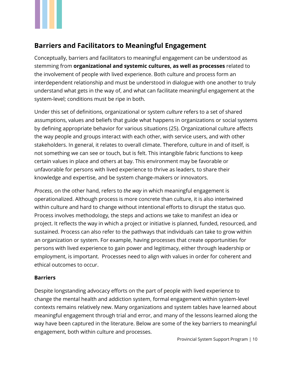

## <span id="page-10-0"></span>**Barriers and Facilitators to Meaningful Engagement**

Conceptually, barriers and facilitators to meaningful engagement can be understood as stemming from **organizational and systemic cultures, as well as processes** related to the involvement of people with lived experience. Both culture and process form an interdependent relationship and must be understood in dialogue with one another to truly understand what gets in the way of, and what can facilitate meaningful engagement at the system-level; conditions must be ripe in both.

Under this set of definitions, organizational or system *culture* refers to a set of shared assumptions, values and beliefs that guide what happens in organizations or social systems by defining appropriate behavior for various situations (25). Organizational culture affects the way people and groups interact with each other, with service users, and with other stakeholders. In general, it relates to overall climate. Therefore, culture in and of itself, is not something we can see or touch, but is felt. This intangible fabric functions to keep certain values in place and others at bay. This environment may be favorable or unfavorable for persons with lived experience to thrive as leaders, to share their knowledge and expertise, and be system change-makers or innovators.

*Process*, on the other hand, refers to *the way* in which meaningful engagement is operationalized. Although process is more concrete than culture, it is also intertwined within culture and hard to change without intentional efforts to disrupt the status quo. Process involves methodology, the steps and actions we take to manifest an idea or project. It reflects the way in which a project or initiative is planned, funded, resourced, and sustained. Process can also refer to the pathways that individuals can take to grow within an organization or system. For example, having processes that create opportunities for persons with lived experience to gain power and legitimacy, either through leadership or employment, is important. Processes need to align with values in order for coherent and ethical outcomes to occur.

#### <span id="page-10-1"></span>**Barriers**

Despite longstanding advocacy efforts on the part of people with lived experience to change the mental health and addiction system, formal engagement within system-level contexts remains relatively new. Many organizations and system tables have learned about meaningful engagement through trial and error, and many of the lessons learned along the way have been captured in the literature. Below are some of the key barriers to meaningful engagement, both within culture and processes.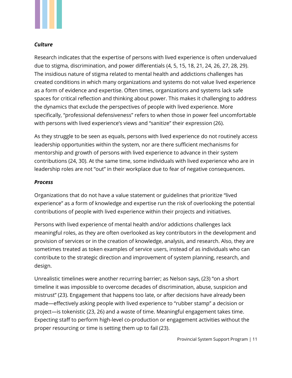

#### *Culture*

Research indicates that the expertise of persons with lived experience is often undervalued due to stigma, discrimination, and power differentials (4, 5, 15, 18, 21, 24, 26, 27, 28, 29). The insidious nature of stigma related to mental health and addictions challenges has created conditions in which many organizations and systems do not value lived experience as a form of evidence and expertise. Often times, organizations and systems lack safe spaces for critical reflection and thinking about power. This makes it challenging to address the dynamics that exclude the perspectives of people with lived experience. More specifically, "professional defensiveness" refers to when those in power feel uncomfortable with persons with lived experience's views and "sanitize" their expression (26).

As they struggle to be seen as equals, persons with lived experience do not routinely access leadership opportunities within the system, nor are there sufficient mechanisms for mentorship and growth of persons with lived experience to advance in their system contributions (24, 30). At the same time, some individuals with lived experience who are in leadership roles are not "out" in their workplace due to fear of negative consequences.

#### *Process*

Organizations that do not have a value statement or guidelines that prioritize "lived experience" as a form of knowledge and expertise run the risk of overlooking the potential contributions of people with lived experience within their projects and initiatives.

Persons with lived experience of mental health and/or addictions challenges lack meaningful roles, as they are often overlooked as key contributors in the development and provision of services or in the creation of knowledge, analysis, and research. Also, they are sometimes treated as token examples of service users, instead of as individuals who can contribute to the strategic direction and improvement of system planning, research, and design.

Unrealistic timelines were another recurring barrier; as Nelson says, (23) "on a short timeline it was impossible to overcome decades of discrimination, abuse, suspicion and mistrust" (23). Engagement that happens too late, or after decisions have already been made—effectively asking people with lived experience to "rubber stamp" a decision or project—is tokenistic (23, 26) and a waste of time. Meaningful engagement takes time. Expecting staff to perform high-level co-production or engagement activities without the proper resourcing or time is setting them up to fail (23).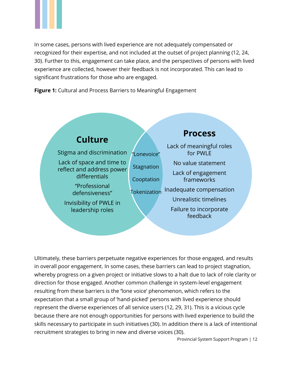

In some cases, persons with lived experience are not adequately compensated or recognized for their expertise, and not included at the outset of project planning (12, 24, 30). Further to this, engagement can take place, and the perspectives of persons with lived experience are collected, however their feedback is not incorporated. This can lead to significant frustrations for those who are engaged.

**Figure 1:** Cultural and Process Barriers to Meaningful Engagement



Ultimately, these barriers perpetuate negative experiences for those engaged, and results in overall poor engagement. In some cases, these barriers can lead to project stagnation, whereby progress on a given project or initiative slows to a halt due to lack of role clarity or direction for those engaged. Another common challenge in system-level engagement resulting from these barriers is the **'**lone voice' phenomenon, which refers to the expectation that a small group of 'hand-picked' persons with lived experience should represent the diverse experiences of all service users (12, 29, 31). This is a vicious cycle because there are not enough opportunities for persons with lived experience to build the skills necessary to participate in such initiatives (30). In addition there is a lack of intentional recruitment strategies to bring in new and diverse voices (30).

Provincial System Support Program | 12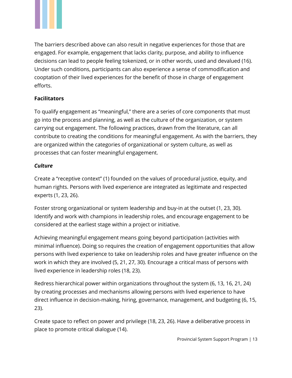

The barriers described above can also result in negative experiences for those that are engaged. For example, engagement that lacks clarity, purpose, and ability to influence decisions can lead to people feeling tokenized, or in other words, used and devalued (16). Under such conditions, participants can also experience a sense of commodification and cooptation of their lived experiences for the benefit of those in charge of engagement efforts.

#### <span id="page-13-0"></span>**Facilitators**

To qualify engagement as "meaningful," there are a series of core components that must go into the process and planning, as well as the culture of the organization, or system carrying out engagement. The following practices, drawn from the literature, can all contribute to creating the conditions for meaningful engagement. As with the barriers, they are organized within the categories of organizational or system culture, as well as processes that can foster meaningful engagement.

#### *Culture*

Create a "receptive context" (1) founded on the values of procedural justice, equity, and human rights. Persons with lived experience are integrated as legitimate and respected experts (1, 23, 26).

Foster strong organizational or system leadership and buy-in at the outset (1, 23, 30). Identify and work with champions in leadership roles, and encourage engagement to be considered at the earliest stage within a project or initiative.

Achieving meaningful engagement means going beyond participation (activities with minimal influence). Doing so requires the creation of engagement opportunities that allow persons with lived experience to take on leadership roles and have greater influence on the work in which they are involved (5, 21, 27, 30). Encourage a critical mass of persons with lived experience in leadership roles (18, 23).

Redress hierarchical power within organizations throughout the system (6, 13, 16, 21, 24) by creating processes and mechanisms allowing persons with lived experience to have direct influence in decision-making, hiring, governance, management, and budgeting (6, 15, 23).

Create space to reflect on power and privilege (18, 23, 26). Have a deliberative process in place to promote critical dialogue (14).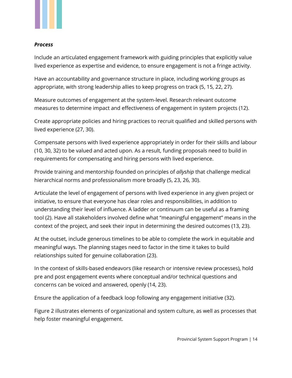

#### *Process*

Include an articulated engagement framework with guiding principles that explicitly value lived experience as expertise and evidence, to ensure engagement is not a fringe activity.

Have an accountability and governance structure in place, including working groups as appropriate, with strong leadership allies to keep progress on track (5, 15, 22, 27).

Measure outcomes of engagement at the system-level. Research relevant outcome measures to determine impact and effectiveness of engagement in system projects (12).

Create appropriate policies and hiring practices to recruit qualified and skilled persons with lived experience (27, 30).

Compensate persons with lived experience appropriately in order for their skills and labour (10, 30, 32) to be valued and acted upon. As a result, funding proposals need to build in requirements for compensating and hiring persons with lived experience.

Provide training and mentorship founded on principles of *allyship* that challenge medical hierarchical norms and professionalism more broadly (5, 23, 26, 30).

Articulate the level of engagement of persons with lived experience in any given project or initiative, to ensure that everyone has clear roles and responsibilities, in addition to understanding their level of influence. A ladder or continuum can be useful as a framing tool (2). Have all stakeholders involved define what "meaningful engagement" means in the context of the project, and seek their input in determining the desired outcomes (13, 23).

At the outset, include generous timelines to be able to complete the work in equitable and meaningful ways. The planning stages need to factor in the time it takes to build relationships suited for genuine collaboration (23).

In the context of skills-based endeavors (like research or intensive review processes), hold pre and post engagement events where conceptual and/or technical questions and concerns can be voiced and answered, openly (14, 23).

Ensure the application of a feedback loop following any engagement initiative (32).

Figure 2 illustrates elements of organizational and system culture, as well as processes that help foster meaningful engagement.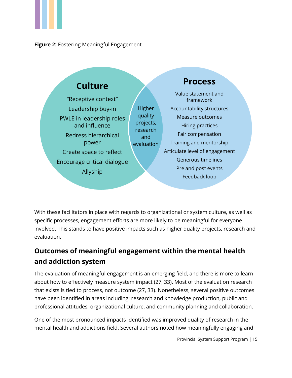





With these facilitators in place with regards to organizational or system culture, as well as specific processes, engagement efforts are more likely to be meaningful for everyone involved. This stands to have positive impacts such as higher quality projects, research and evaluation.

## <span id="page-15-0"></span>**Outcomes of meaningful engagement within the mental health and addiction system**

The evaluation of meaningful engagement is an emerging field, and there is more to learn about how to effectively measure system impact (27, 33). Most of the evaluation research that exists is tied to process, not outcome (27, 33). Nonetheless, several positive outcomes have been identified in areas including: research and knowledge production, public and professional attitudes, organizational culture, and community planning and collaboration.

One of the most pronounced impacts identified was improved quality of research in the mental health and addictions field. Several authors noted how meaningfully engaging and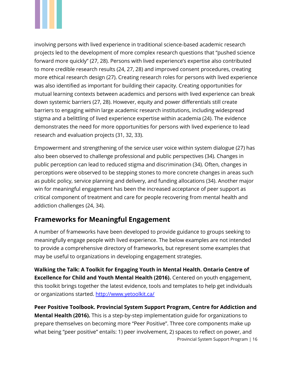

involving persons with lived experience in traditional science-based academic research projects led to the development of more complex research questions that "pushed science forward more quickly" (27, 28). Persons with lived experience's expertise also contributed to more credible research results (24, 27, 28) and improved consent procedures, creating more ethical research design (27). Creating research roles for persons with lived experience was also identified as important for building their capacity. Creating opportunities for mutual learning contexts between academics and persons with lived experience can break down systemic barriers (27, 28). However, equity and power differentials still create barriers to engaging within large academic research institutions, including widespread stigma and a belittling of lived experience expertise within academia (24). The evidence demonstrates the need for more opportunities for persons with lived experience to lead research and evaluation projects (31, 32, 33).

Empowerment and strengthening of the service user voice within system dialogue (27) has also been observed to challenge professional and public perspectives (34). Changes in public perception can lead to reduced stigma and discrimination (34). Often, changes in perceptions were observed to be stepping stones to more concrete changes in areas such as public policy, service planning and delivery, and funding allocations (34). Another major win for meaningful engagement has been the increased acceptance of peer support as critical component of treatment and care for people recovering from mental health and addiction challenges (24, 34).

### <span id="page-16-0"></span>**Frameworks for Meaningful Engagement**

A number of frameworks have been developed to provide guidance to groups seeking to meaningfully engage people with lived experience. The below examples are not intended to provide a comprehensive directory of frameworks, but represent some examples that may be useful to organizations in developing engagement strategies.

**Walking the Talk: A Toolkit for Engaging Youth in Mental Health. Ontario Centre of Excellence for Child and Youth Mental Health (2016).** Centered on youth engagement, this toolkit brings together the latest evidence, tools and templates to help get individuals or organizations started.<http://www.yetoolkit.ca/>

Provincial System Support Program | 16 **Peer Positive Toolbook. Provincial System Support Program, Centre for Addiction and Mental Health (2016).** This is a step-by-step implementation guide for organizations to prepare themselves on becoming more "Peer Positive". Three core components make up what being "peer positive" entails: 1) peer involvement, 2) spaces to reflect on power, and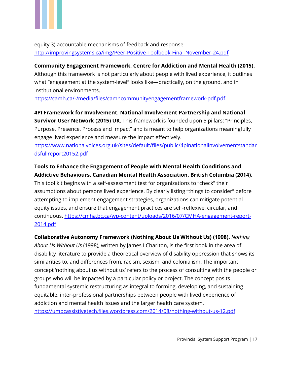

equity 3) accountable mechanisms of feedback and response. <http://improvingsystems.ca/img/Peer-Positive-Toolbook-Final-November-24.pdf>

#### **Community Engagement Framework. Centre for Addiction and Mental Health (2015).**

Although this framework is not particularly about people with lived experience, it outlines what "engagement at the system-level" looks like—practically, on the ground, and in institutional environments.

<https://camh.ca/-/media/files/camhcommunityengagementframework-pdf.pdf>

**4PI Framework for Involvement. National Involvement Partnership and National Survivor User Network (2015) UK**. This framework is founded upon 5 pillars: "Principles, Purpose, Presence, Process and Impact" and is meant to help organizations meaningfully engage lived experience and measure the impact effectively.

[https://www.nationalvoices.org.uk/sites/default/files/public/4pinationalinvolvementstandar](https://www.nationalvoices.org.uk/sites/default/files/public/4pinationalinvolvementstandardsfullreport20152.pdf) [dsfullreport20152.pdf](https://www.nationalvoices.org.uk/sites/default/files/public/4pinationalinvolvementstandardsfullreport20152.pdf)

#### **Tools to Enhance the Engagement of People with Mental Health Conditions and Addictive Behaviours. Canadian Mental Health Association, British Columbia (2014).**

This tool kit begins with a self-assessment test for organizations to "check" their assumptions about persons lived experience. By clearly listing "things to consider" before attempting to implement engagement strategies, organizations can mitigate potential equity issues, and ensure that engagement practices are self-reflexive, circular, and continuous. [https://cmha.bc.ca/wp-content/uploads/2016/07/CMHA-engagement-report-](https://cmha.bc.ca/wp-content/uploads/2016/07/CMHA-engagement-report-2014.pdf)[2014.pdf](https://cmha.bc.ca/wp-content/uploads/2016/07/CMHA-engagement-report-2014.pdf) 

**Collaborative Autonomy Framework (Nothing About Us Without Us) (1998).** *Nothing* 

*About Us Without Us* (1998), written by James I Charlton, is the first book in the area of disability literature to provide a theoretical overview of disability oppression that shows its similarities to, and differences from, racism, sexism, and colonialism. The important concept 'nothing about us without us' refers to the process of consulting with the people or groups who will be impacted by a particular policy or project. The concept posits fundamental systemic restructuring as integral to forming, developing, and sustaining equitable, inter-professional partnerships between people with lived experience of addiction and mental health issues and the larger health care system. <https://umbcassistivetech.files.wordpress.com/2014/08/nothing-without-us-12.pdf>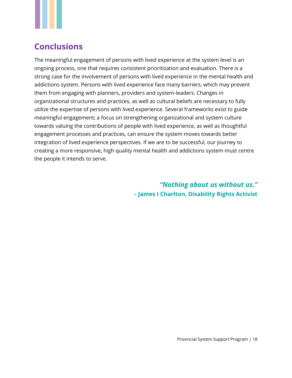## <span id="page-18-0"></span>**Conclusions**

The meaningful engagement of persons with lived experience at the system level is an ongoing process, one that requires consistent prioritization and evaluation. There is a strong case for the involvement of persons with lived experience in the mental health and addictions system. Persons with lived experience face many barriers, which may prevent them from engaging with planners, providers and system-leaders. Changes in organizational structures and practices, as well as cultural beliefs are necessary to fully utilize the expertise of persons with lived experience. Several frameworks exist to guide meaningful engagement; a focus on strengthening organizational and system culture towards valuing the contributions of people with lived experience, as well as thoughtful engagement processes and practices, can ensure the system moves towards better integration of lived experience perspectives. If we are to be successful, our journey to creating a more responsive, high quality mental health and addictions system must centre the people it intends to serve.

> *"Nothing about us without us." -* **James I Charlton, Disability Rights Activist**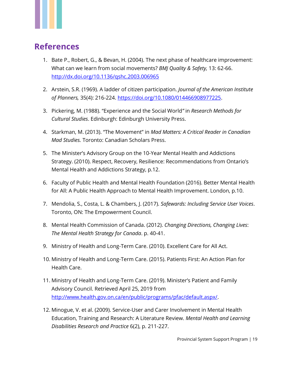

## <span id="page-19-0"></span>**References**

- 1. Bate P., Robert, G., & Bevan, H. (2004). The next phase of healthcare improvement: What can we learn from social movements? *BMJ Quality & Safety,* 13: 62-66. <http://dx.doi.org/10.1136/qshc.2003.006965>
- 2. Arstein, S.R. (1969). A ladder of citizen participation. *Journal of the American Institute of Planners,* 35(4): 216-224. [https://doi.org/10.1080/014466908977225.](https://doi.org/10.1080/014466908977225)
- 3. Pickering, M. (1988). "Experience and the Social World*"* in *Research Methods for Cultural Studies*. Edinburgh: Edinburgh University Press.
- 4. Starkman, M. (2013). "The Movement" in *Mad Matters: A Critical Reader in Canadian Mad Studies.* Toronto: Canadian Scholars Press.
- 5. The Minister's Advisory Group on the 10-Year Mental Health and Addictions Strategy. (2010). Respect, Recovery, Resilience: Recommendations from Ontario's Mental Health and Addictions Strategy, p.12.
- 6. Faculty of Public Health and Mental Health Foundation (2016). Better Mental Health for All: A Public Health Approach to Mental Health Improvement. London, p.10.
- 7. Mendolia, S., Costa, L. & Chambers, J. (2017). *Safewards: Including Service User Voices*. Toronto, ON: The Empowerment Council.
- 8. Mental Health Commission of Canada. (2012). *Changing Directions, Changing Lives*: *The Mental Health Strategy for Canada*. p. 40-41.
- 9. Ministry of Health and Long-Term Care. (2010). Excellent Care for All Act.
- 10. Ministry of Health and Long-Term Care. (2015). Patients First: An Action Plan for Health Care.
- 11. Ministry of Health and Long-Term Care. (2019). Minister's Patient and Family Advisory Council. Retrieved April 25, 2019 from [http://www.health.gov.on.ca/en/public/programs/pfac/default.aspx/.](http://www.health.gov.on.ca/en/public/programs/pfac/default.aspx/)
- 12. Minogue, V. et al. (2009). Service-User and Carer Involvement in Mental Health Education, Training and Research: A Literature Review. *Mental Health and Learning Disabilities Research and Practice* 6(2), p. 211-227.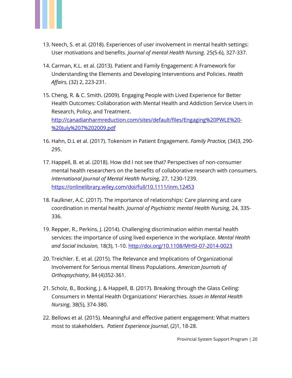

- 13. Neech, S. et al. (2018). Experiences of user involvement in mental health settings: User motivations and benefits. *Journal of mental Health Nursing*. 25(5-6), 327-337.
- 14. Carman, K.L. et al. (2013). Patient and Family Engagement: A Framework for Understanding the Elements and Developing Interventions and Policies. *Health Affairs*, (32) 2, 223-231.
- 15. Cheng, R. & C. Smith. (2009). Engaging People with Lived Experience for Better Health Outcomes: Collaboration with Mental Health and Addiction Service Users in Research, Policy, and Treatment. [http://canadianharmreduction.com/sites/default/files/Engaging%20PWLE%20-](http://canadianharmreduction.com/sites/default/files/Engaging%20PWLE%20-%20July%207%202009.pdf) [%20July%207%202009.pdf](http://canadianharmreduction.com/sites/default/files/Engaging%20PWLE%20-%20July%207%202009.pdf)
- 16. Hahn, D.L et al. (2017). Tokenism in Patient Engagement. *Family Practice,* (34)3, 290- 295.
- 17. Happell, B. et al. (2018). How did I not see that? Perspectives of non-consumer mental health researchers on the benefits of collaborative research with consumers. *International Journal of Mental Health Nursing*, 27, 1230-1239. <https://onlinelibrary.wiley.com/doi/full/10.1111/inm.12453>
- 18. Faulkner, A.C. (2017). The importance of relationships: Care planning and care coordination in mental health. *Journal of Psychiatric mental Health Nursing*, 24, 335- 336.
- 19. Repper, R., Perkins, J. (2014). Challenging discrimination within mental health services: the importance of using lived experience in the workplace. *Mental Health and Social Inclusion,* 18(3), 1-10.<http://doi.org/10.1108/MHSI-07-2014-0023>
- 20. Treichler. E. et al. (2015). The Relevance and Implications of Organizational Involvement for Serious mental Illness Populations. *American Journals of Orthopsychiatry*, 84 (4)352-361.
- 21. Scholz, B., Bocking, J. & Happell, B. (2017). Breaking through the Glass Ceiling: Consumers in Mental Health Organizations' Hierarchies*. Issues in Mental Health Nursing*, 38(5), 374-380.
- 22. Bellows et al. (2015). Meaningful and effective patient engagement: What matters most to stakeholders. *Patient Experience Journal*, (2)1, 18-28.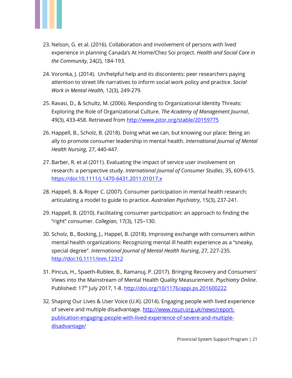

- 23. Nelson, G. et al. (2016). Collaboration and involvement of persons with lived experience in planning Canada's At Home/Chez Soi project. *Health and Social Care in the Community*, 24(2), 184-193.
- 24. Voronka, J. (2014). Un/helpful help and its discontents: peer researchers paying attention to street life narratives to inform social work policy and practice. *Social Work in Mental Health*, 12(3), 249-279.
- 25. Ravasi, D., & Schultz, M. (2006). Responding to Organizational Identity Threats: Exploring the Role of Organizational Culture. *The Academy of Management Journal*, 49(3), 433-458. Retrieved from<http://www.jstor.org/stable/20159775>
- 26. Happell, B., Scholz, B. (2018). Doing what we can, but knowing our place: Being an ally to promote consumer leadership in mental health. *International Journal of Mental Health Nursing*, 27, 440-447.
- 27. Barber, R. et al (2011). Evaluating the impact of service user involvement on research: a perspective study. *International Journal of Consumer Studies*, 35, 609-615. <https://doi:10.1111/j.1470-6431.2011.01017.x>
- 28. Happell, B. & Roper C. (2007). Consumer participation in mental health research: articulating a model to guide to practice. *Australian Psychiatry*, 15(3), 237-241.
- 29. Happell, B. (2010). Facilitating consumer participation: an approach to finding the "right" consumer. *Collegian*, 17(3), 125–130.
- 30. Scholz, B., Bocking, J., Happel, B. (2018). Improving exchange with consumers within mental health organizations: Recognizing mental ill health experience as a "sneaky, special degree". *International Journal of Mental Health Nursing*, 27, 227-235. <http://doi:10.1111/inm.12312>
- 31. Pincus, H., Spaeth-Rublee, B., Ramanuj, P. (2017). Bringing Recovery and Consumers' Views into the Mainstream of Mental Health Quality Measurement. *Psychiatry Online*. Published: 17<sup>th</sup> July 2017, 1-8. <http://doi.org/10/1176/appi.ps.201600222>
- 32. Shaping Our Lives & User Voice (U.K). (2014). Engaging people with lived experience of severe and multiple disadvantage. [http://www.nsun.org.uk/news/report](http://www.nsun.org.uk/news/report-publication-engaging-people-with-lived-experience-of-severe-and-multiple-disadvantage/)[publication-engaging-people-with-lived-experience-of-severe-and-multiple](http://www.nsun.org.uk/news/report-publication-engaging-people-with-lived-experience-of-severe-and-multiple-disadvantage/)[disadvantage/](http://www.nsun.org.uk/news/report-publication-engaging-people-with-lived-experience-of-severe-and-multiple-disadvantage/)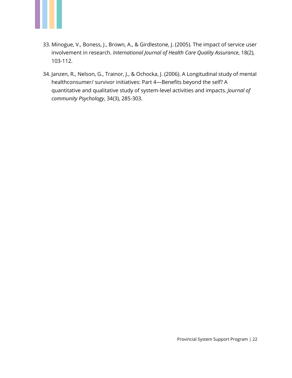

- 33. Minogue, V., Boness, J., Brown, A., & Girdlestone, J. (2005). The impact of service user involvement in research. *International Journal of Health Care Quality Assurance*, 18(2), 103-112.
- 34. Janzen, R., Nelson, G., Trainor, J., & Ochocka, J. (2006). A Longitudinal study of mental healthconsumer/ survivor initiatives: Part 4—Benefits beyond the self? A quantitative and qualitative study of system‐level activities and impacts*. Journal of community Psychology*, 34(3), 285-303.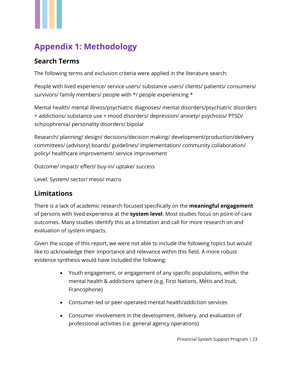## <span id="page-23-0"></span>**Appendix 1: Methodology**

## <span id="page-23-1"></span>**Search Terms**

The following terms and exclusion criteria were applied in the literature search:

People with lived experience/ service users/ substance users/ clients/ patients/ consumers/ survivors/ family members/ people with \*/ people experiencing \*

Mental health/ mental illness/psychiatric diagnoses/ mental disorders/psychiatric disorders + addictions/ substance use + mood disorders/ depression/ anxiety/ psychosis/ PTSD/ schizophrenia/ personality disorders/ bipolar

Research/ planning/ design/ decisions/decision making/ development/production/delivery committees/ (advisory) boards/ guidelines/ implementation/ community collaboration/ policy/ healthcare improvement/ service improvement

Outcome/ impact/ effect/ buy-in/ uptake/ success

Level: System/ sector/ meso/ macro

### <span id="page-23-2"></span>**Limitations**

There is a lack of academic research focused specifically on the **meaningful engagement** of persons with lived experience at the **system level**. Most studies focus on point-of-care outcomes. Many studies identify this as a limitation and call for more research on and evaluation of system impacts.

Given the scope of this report, we were not able to include the following topics but would like to acknowledge their importance and relevance within this field. A more robust evidence synthesis would have included the following:

- Youth engagement, or engagement of any specific populations, within the mental health & addictions sphere (e.g. First Nations, Métis and Inuit, Francophone)
- Consumer-led or peer-operated mental health/addiction services
- Consumer involvement in the development, delivery, and evaluation of professional activities (i.e. general agency operations)